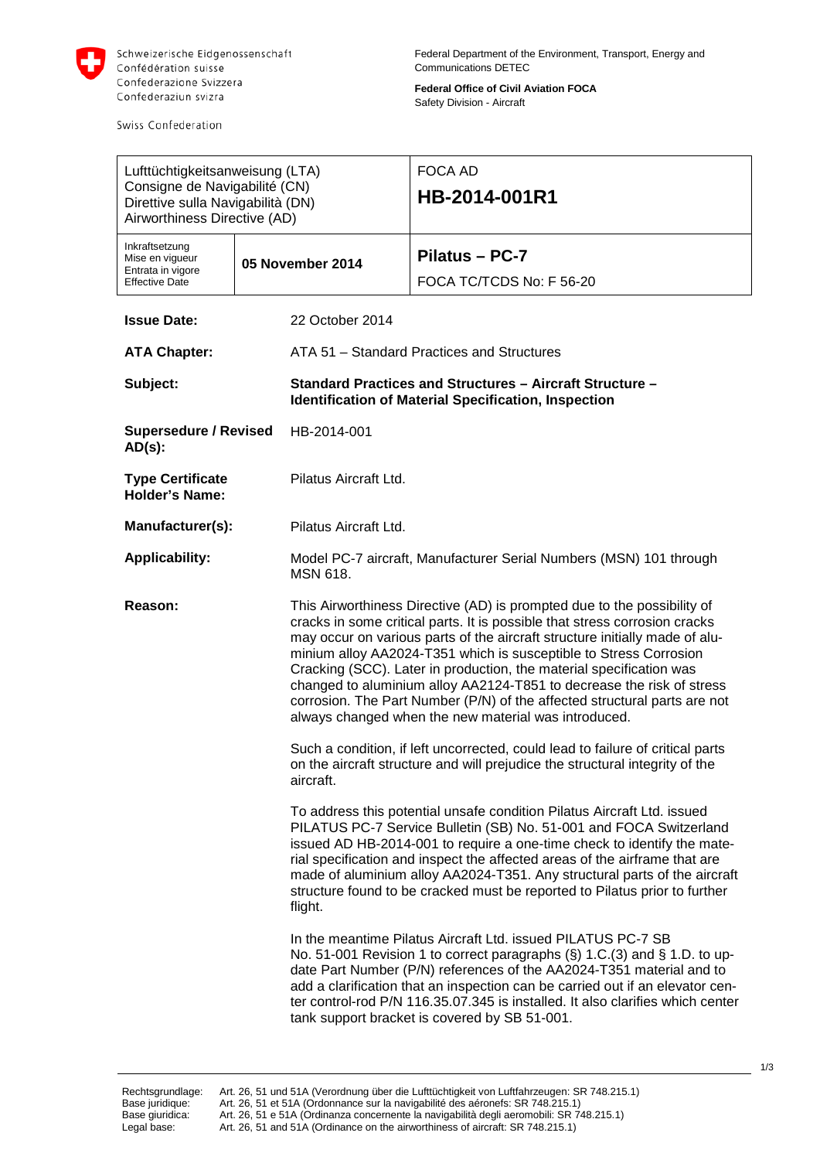

Swiss Confederation

**Federal Office of Civil Aviation FOCA** Safety Division - Aircraft

| Lufttüchtigkeitsanweisung (LTA)<br>Consigne de Navigabilité (CN)<br>Direttive sulla Navigabilità (DN)<br>Airworthiness Directive (AD) |  |                                                                                                                                                                                                                                                                                                                                                                                                                                                                                                                                                                                                | <b>FOCA AD</b><br>HB-2014-001R1                                                                                                                                                                                                                                                                                                                                                                                                                                   |
|---------------------------------------------------------------------------------------------------------------------------------------|--|------------------------------------------------------------------------------------------------------------------------------------------------------------------------------------------------------------------------------------------------------------------------------------------------------------------------------------------------------------------------------------------------------------------------------------------------------------------------------------------------------------------------------------------------------------------------------------------------|-------------------------------------------------------------------------------------------------------------------------------------------------------------------------------------------------------------------------------------------------------------------------------------------------------------------------------------------------------------------------------------------------------------------------------------------------------------------|
| Inkraftsetzung<br>Mise en vigueur<br>Entrata in vigore<br><b>Effective Date</b>                                                       |  | 05 November 2014                                                                                                                                                                                                                                                                                                                                                                                                                                                                                                                                                                               | Pilatus - PC-7<br>FOCA TC/TCDS No: F 56-20                                                                                                                                                                                                                                                                                                                                                                                                                        |
| <b>Issue Date:</b>                                                                                                                    |  | 22 October 2014                                                                                                                                                                                                                                                                                                                                                                                                                                                                                                                                                                                |                                                                                                                                                                                                                                                                                                                                                                                                                                                                   |
| <b>ATA Chapter:</b>                                                                                                                   |  | ATA 51 - Standard Practices and Structures                                                                                                                                                                                                                                                                                                                                                                                                                                                                                                                                                     |                                                                                                                                                                                                                                                                                                                                                                                                                                                                   |
| Subject:                                                                                                                              |  | <b>Standard Practices and Structures - Aircraft Structure -</b><br>Identification of Material Specification, Inspection                                                                                                                                                                                                                                                                                                                                                                                                                                                                        |                                                                                                                                                                                                                                                                                                                                                                                                                                                                   |
| <b>Supersedure / Revised</b><br>$AD(s)$ :                                                                                             |  | HB-2014-001                                                                                                                                                                                                                                                                                                                                                                                                                                                                                                                                                                                    |                                                                                                                                                                                                                                                                                                                                                                                                                                                                   |
| <b>Type Certificate</b><br><b>Holder's Name:</b>                                                                                      |  | Pilatus Aircraft Ltd.                                                                                                                                                                                                                                                                                                                                                                                                                                                                                                                                                                          |                                                                                                                                                                                                                                                                                                                                                                                                                                                                   |
| Manufacturer(s):                                                                                                                      |  | Pilatus Aircraft Ltd.                                                                                                                                                                                                                                                                                                                                                                                                                                                                                                                                                                          |                                                                                                                                                                                                                                                                                                                                                                                                                                                                   |
| <b>Applicability:</b>                                                                                                                 |  | Model PC-7 aircraft, Manufacturer Serial Numbers (MSN) 101 through<br><b>MSN 618.</b>                                                                                                                                                                                                                                                                                                                                                                                                                                                                                                          |                                                                                                                                                                                                                                                                                                                                                                                                                                                                   |
| Reason:                                                                                                                               |  | This Airworthiness Directive (AD) is prompted due to the possibility of<br>cracks in some critical parts. It is possible that stress corrosion cracks<br>may occur on various parts of the aircraft structure initially made of alu-<br>minium alloy AA2024-T351 which is susceptible to Stress Corrosion<br>Cracking (SCC). Later in production, the material specification was<br>changed to aluminium alloy AA2124-T851 to decrease the risk of stress<br>corrosion. The Part Number (P/N) of the affected structural parts are not<br>always changed when the new material was introduced. |                                                                                                                                                                                                                                                                                                                                                                                                                                                                   |
|                                                                                                                                       |  | Such a condition, if left uncorrected, could lead to failure of critical parts<br>on the aircraft structure and will prejudice the structural integrity of the<br>aircraft.                                                                                                                                                                                                                                                                                                                                                                                                                    |                                                                                                                                                                                                                                                                                                                                                                                                                                                                   |
|                                                                                                                                       |  | flight.                                                                                                                                                                                                                                                                                                                                                                                                                                                                                                                                                                                        | To address this potential unsafe condition Pilatus Aircraft Ltd. issued<br>PILATUS PC-7 Service Bulletin (SB) No. 51-001 and FOCA Switzerland<br>issued AD HB-2014-001 to require a one-time check to identify the mate-<br>rial specification and inspect the affected areas of the airframe that are<br>made of aluminium alloy AA2024-T351. Any structural parts of the aircraft<br>structure found to be cracked must be reported to Pilatus prior to further |
|                                                                                                                                       |  |                                                                                                                                                                                                                                                                                                                                                                                                                                                                                                                                                                                                | In the meantime Pilatus Aircraft Ltd. issued PILATUS PC-7 SB<br>No. 51-001 Revision 1 to correct paragraphs (§) 1.C.(3) and § 1.D. to up-<br>date Part Number (P/N) references of the AA2024-T351 material and to<br>add a clarification that an inspection can be carried out if an elevator cen-<br>ter control-rod P/N 116.35.07.345 is installed. It also clarifies which center<br>tank support bracket is covered by SB 51-001.                             |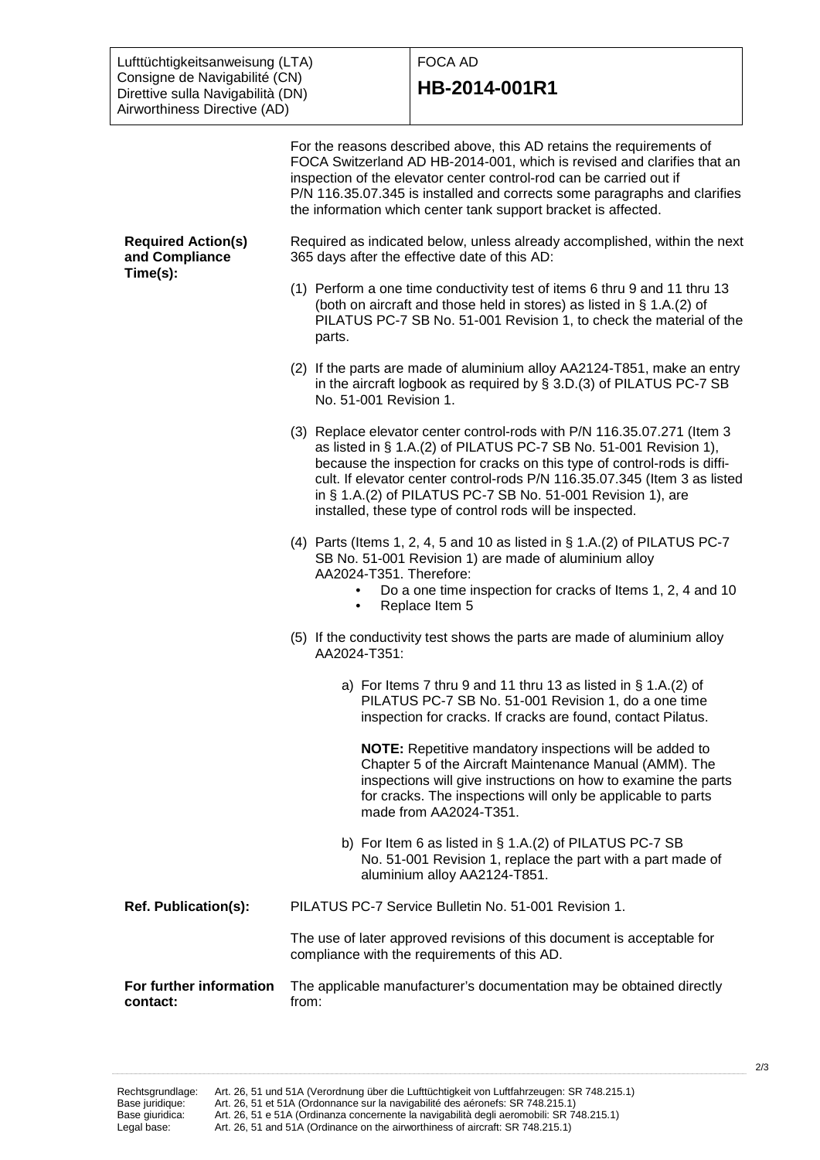Lufttüchtigkeitsanweisung (LTA) Consigne de Navigabilité (CN) Direttive sulla Navigabilità (DN) Airworthiness Directive (AD)

## FOCA AD

## **HB-2014-001R1**

For the reasons described above, this AD retains the requirements of FOCA Switzerland AD HB-2014-001, which is revised and clarifies that an inspection of the elevator center control-rod can be carried out if P/N 116.35.07.345 is installed and corrects some paragraphs and clarifies the information which center tank support bracket is affected. **Required Action(s) and Compliance Time(s):** Required as indicated below, unless already accomplished, within the next 365 days after the effective date of this AD: (1) Perform a one time conductivity test of items 6 thru 9 and 11 thru 13 (both on aircraft and those held in stores) as listed in § 1.A.(2) of PILATUS PC-7 SB No. 51-001 Revision 1, to check the material of the parts. (2) If the parts are made of aluminium alloy AA2124-T851, make an entry in the aircraft logbook as required by § 3.D.(3) of PILATUS PC-7 SB No. 51-001 Revision 1. (3) Replace elevator center control-rods with P/N 116.35.07.271 (Item 3 as listed in § 1.A.(2) of PILATUS PC-7 SB No. 51-001 Revision 1), because the inspection for cracks on this type of control-rods is difficult. If elevator center control-rods P/N 116.35.07.345 (Item 3 as listed in § 1.A.(2) of PILATUS PC-7 SB No. 51-001 Revision 1), are installed, these type of control rods will be inspected. (4) Parts (Items 1, 2, 4, 5 and 10 as listed in § 1.A.(2) of PILATUS PC-7 SB No. 51-001 Revision 1) are made of aluminium alloy AA2024-T351. Therefore: • Do a one time inspection for cracks of Items 1, 2, 4 and 10 • Replace Item 5 (5) If the conductivity test shows the parts are made of aluminium alloy AA2024-T351: a) For Items 7 thru 9 and 11 thru 13 as listed in § 1.A.(2) of PILATUS PC-7 SB No. 51-001 Revision 1, do a one time inspection for cracks. If cracks are found, contact Pilatus. **NOTE:** Repetitive mandatory inspections will be added to Chapter 5 of the Aircraft Maintenance Manual (AMM). The inspections will give instructions on how to examine the parts for cracks. The inspections will only be applicable to parts made from AA2024-T351. b) For Item 6 as listed in § 1.A.(2) of PILATUS PC-7 SB No. 51-001 Revision 1, replace the part with a part made of aluminium alloy AA2124-T851. **Ref. Publication(s):** PILATUS PC-7 Service Bulletin No. 51-001 Revision 1. The use of later approved revisions of this document is acceptable for compliance with the requirements of this AD. **For further information contact:** The applicable manufacturer's documentation may be obtained directly from: